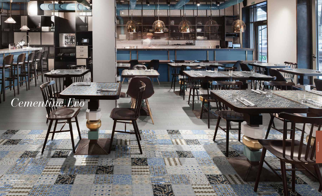

m

 $\frac{1}{2}$ **The St We** 

2131313

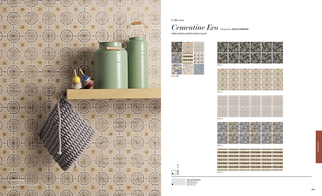Collection

*Cementine Evo* Designed by SILVIA STANZANI

GRES PORCELLANATO BODY-COLOR



20x20 - 8"x8"  $\Box$ 



**BARAR** EVO\_5



Naturale/Rettificato Matte/Rectified Matt/Rektifiziert Matt/Rectifié



|   |  | 囲 | Θ | Ð |  | 回 | $\overline{\mathbb{R}}$ |   |  | 回 | э | Θī | 回 | 삐 | Ð | ω            |  |
|---|--|---|---|---|--|---|-------------------------|---|--|---|---|----|---|---|---|--------------|--|
| 同 |  | 国 |   | 回 |  | 国 |                         | 回 |  | 压 |   | G  | 国 | 回 | 国 | $\mathbb{E}$ |  |
|   |  |   |   |   |  |   |                         |   |  |   |   |    |   |   |   |              |  |
|   |  | 回 |   | 豇 |  | 回 | 9                       | 狟 |  | 回 |   | 囱  | 回 | 囯 | ₩ | Œ            |  |

|  |  |  |  | <b>TOTAL LIGHT</b> |  |                 |  | œ |                                   |  |  |  |
|--|--|--|--|--------------------|--|-----------------|--|---|-----------------------------------|--|--|--|
|  |  |  |  |                    |  | <b>AND SHOP</b> |  |   | <b>Contract Contract Contract</b> |  |  |  |
|  |  |  |  |                    |  |                 |  |   |                                   |  |  |  |
|  |  |  |  |                    |  |                 |  |   |                                   |  |  |  |
|  |  |  |  |                    |  |                 |  |   |                                   |  |  |  |
|  |  |  |  |                    |  |                 |  |   |                                   |  |  |  |
|  |  |  |  |                    |  |                 |  |   |                                   |  |  |  |
|  |  |  |  |                    |  |                 |  |   |                                   |  |  |  |
|  |  |  |  |                    |  |                 |  |   |                                   |  |  |  |
|  |  |  |  |                    |  |                 |  |   |                                   |  |  |  |
|  |  |  |  |                    |  |                 |  |   |                                   |  |  |  |
|  |  |  |  |                    |  |                 |  |   |                                   |  |  |  |
|  |  |  |  |                    |  |                 |  |   |                                   |  |  |  |

EVO\_2



EVO\_3



adindra **DOC** 300 ....<br>100 300

EVO\_4

|   |  | 000100000010000010000001000000100000                                                           |  |
|---|--|------------------------------------------------------------------------------------------------|--|
|   |  | 00010000010000010000001000000100000                                                            |  |
|   |  |                                                                                                |  |
|   |  |                                                                                                |  |
|   |  | 00010000010000010000001000000100000                                                            |  |
| 5 |  | CONTRACTOR IN CONTRACTOR IN THE CONTRACTOR IN THE CONTRACTOR OF A PROPERTY OF A REAL PROPERTY. |  |